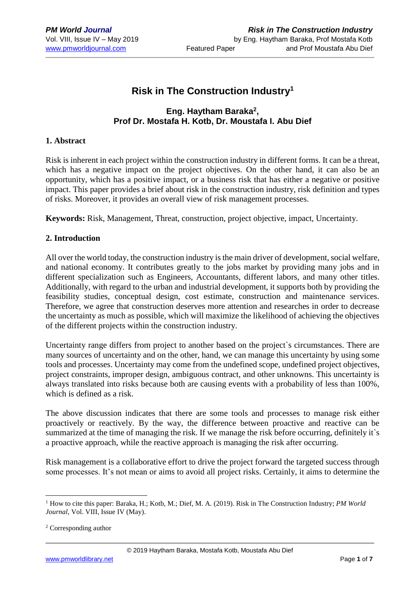# **Risk in The Construction Industry<sup>1</sup>**

## **Eng. Haytham Baraka<sup>2</sup> , Prof Dr. Mostafa H. Kotb, Dr. Moustafa I. Abu Dief**

### **1. Abstract**

Risk is inherent in each project within the construction industry in different forms. It can be a threat, which has a negative impact on the project objectives. On the other hand, it can also be an opportunity, which has a positive impact, or a business risk that has either a negative or positive impact. This paper provides a brief about risk in the construction industry, risk definition and types of risks. Moreover, it provides an overall view of risk management processes.

**Keywords:** Risk, Management, Threat, construction, project objective, impact, Uncertainty.

### **2. Introduction**

All over the world today, the construction industry is the main driver of development, social welfare, and national economy. It contributes greatly to the jobs market by providing many jobs and in different specialization such as Engineers, Accountants, different labors, and many other titles. Additionally, with regard to the urban and industrial development, it supports both by providing the feasibility studies, conceptual design, cost estimate, construction and maintenance services. Therefore, we agree that construction deserves more attention and researches in order to decrease the uncertainty as much as possible, which will maximize the likelihood of achieving the objectives of the different projects within the construction industry.

Uncertainty range differs from project to another based on the project`s circumstances. There are many sources of uncertainty and on the other, hand, we can manage this uncertainty by using some tools and processes. Uncertainty may come from the undefined scope, undefined project objectives, project constraints, improper design, ambiguous contract, and other unknowns. This uncertainty is always translated into risks because both are causing events with a probability of less than 100%, which is defined as a risk.

The above discussion indicates that there are some tools and processes to manage risk either proactively or reactively. By the way, the difference between proactive and reactive can be summarized at the time of managing the risk. If we manage the risk before occurring, definitely it's a proactive approach, while the reactive approach is managing the risk after occurring.

Risk management is a collaborative effort to drive the project forward the targeted success through some processes. It's not mean or aims to avoid all project risks. Certainly, it aims to determine the

1

<sup>1</sup> How to cite this paper: Baraka, H.; Kotb, M.; Dief, M. A. (2019). Risk in The Construction Industry; *PM World Journal*, Vol. VIII, Issue IV (May).

<sup>2</sup> Corresponding author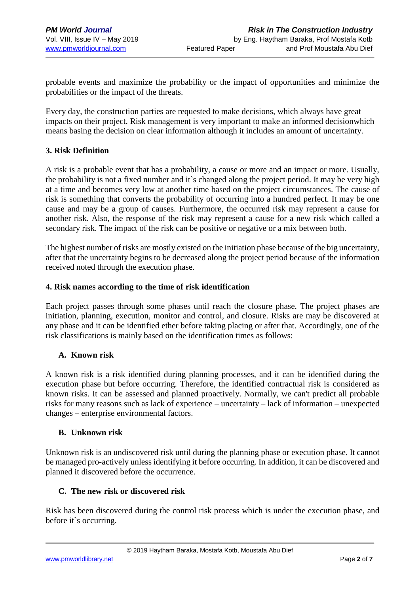probable events and maximize the probability or the impact of opportunities and minimize the probabilities or the impact of the threats.

Every day, the construction parties are requested to make decisions, which always have great impacts on their project. Risk management is very important to make an informed decisionwhich means basing the decision on clear information although it includes an amount of uncertainty.

### **3. Risk Definition**

A risk is a probable event that has a probability, a cause or more and an impact or more. Usually, the probability is not a fixed number and it`s changed along the project period. It may be very high at a time and becomes very low at another time based on the project circumstances. The cause of risk is something that converts the probability of occurring into a hundred perfect. It may be one cause and may be a group of causes. Furthermore, the occurred risk may represent a cause for another risk. Also, the response of the risk may represent a cause for a new risk which called a secondary risk. The impact of the risk can be positive or negative or a mix between both.

The highest number of risks are mostly existed on the initiation phase because of the big uncertainty, after that the uncertainty begins to be decreased along the project period because of the information received noted through the execution phase.

#### **4. Risk names according to the time of risk identification**

Each project passes through some phases until reach the closure phase. The project phases are initiation, planning, execution, monitor and control, and closure. Risks are may be discovered at any phase and it can be identified ether before taking placing or after that. Accordingly, one of the risk classifications is mainly based on the identification times as follows:

## **A. Known risk**

A known risk is a risk identified during planning processes, and it can be identified during the execution phase but before occurring. Therefore, the identified contractual risk is considered as known risks. It can be assessed and planned proactively. Normally, we can't predict all probable risks for many reasons such as lack of experience – uncertainty – lack of information – unexpected changes – enterprise environmental factors.

## **B. Unknown risk**

Unknown risk is an undiscovered risk until during the planning phase or execution phase. It cannot be managed pro-actively unless identifying it before occurring. In addition, it can be discovered and planned it discovered before the occurrence.

## **C. The new risk or discovered risk**

Risk has been discovered during the control risk process which is under the execution phase, and before it`s occurring.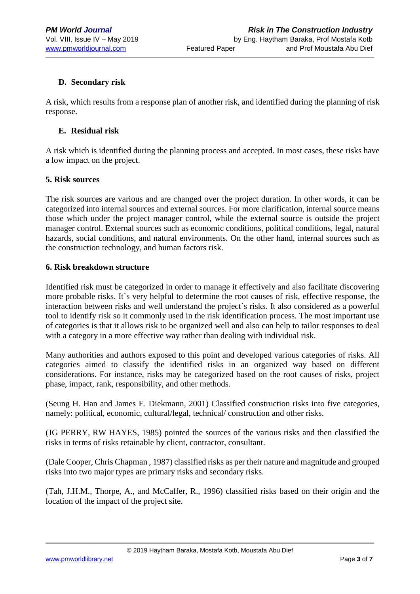## **D. Secondary risk**

A risk, which results from a response plan of another risk, and identified during the planning of risk response.

### **E. Residual risk**

A risk which is identified during the planning process and accepted. In most cases, these risks have a low impact on the project.

#### **5. Risk sources**

The risk sources are various and are changed over the project duration. In other words, it can be categorized into internal sources and external sources. For more clarification, internal source means those which under the project manager control, while the external source is outside the project manager control. External sources such as economic conditions, political conditions, legal, natural hazards, social conditions, and natural environments. On the other hand, internal sources such as the construction technology, and human factors risk.

#### **6. Risk breakdown structure**

Identified risk must be categorized in order to manage it effectively and also facilitate discovering more probable risks. It`s very helpful to determine the root causes of risk, effective response, the interaction between risks and well understand the project`s risks. It also considered as a powerful tool to identify risk so it commonly used in the risk identification process. The most important use of categories is that it allows risk to be organized well and also can help to tailor responses to deal with a category in a more effective way rather than dealing with individual risk.

Many authorities and authors exposed to this point and developed various categories of risks. All categories aimed to classify the identified risks in an organized way based on different considerations. For instance, risks may be categorized based on the root causes of risks, project phase, impact, rank, responsibility, and other methods.

(Seung H. Han and James E. Diekmann, 2001) Classified construction risks into five categories, namely: political, economic, cultural/legal, technical/ construction and other risks.

(JG PERRY, RW HAYES, 1985) pointed the sources of the various risks and then classified the risks in terms of risks retainable by client, contractor, consultant.

(Dale Cooper, Chris Chapman , 1987) classified risks as per their nature and magnitude and grouped risks into two major types are primary risks and secondary risks.

(Tah, J.H.M., Thorpe, A., and McCaffer, R., 1996) classified risks based on their origin and the location of the impact of the project site.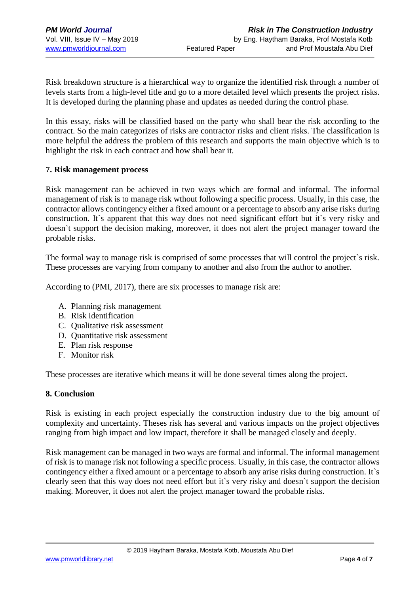Risk breakdown structure is a hierarchical way to organize the identified risk through a number of levels starts from a high-level title and go to a more detailed level which presents the project risks. It is developed during the planning phase and updates as needed during the control phase.

In this essay, risks will be classified based on the party who shall bear the risk according to the contract. So the main categorizes of risks are contractor risks and client risks. The classification is more helpful the address the problem of this research and supports the main objective which is to highlight the risk in each contract and how shall bear it.

#### **7. Risk management process**

Risk management can be achieved in two ways which are formal and informal. The informal management of risk is to manage risk wthout following a specific process. Usually, in this case, the contractor allows contingency either a fixed amount or a percentage to absorb any arise risks during construction. It`s apparent that this way does not need significant effort but it`s very risky and doesn`t support the decision making, moreover, it does not alert the project manager toward the probable risks.

The formal way to manage risk is comprised of some processes that will control the project`s risk. These processes are varying from company to another and also from the author to another.

According to (PMI, 2017), there are six processes to manage risk are:

- A. Planning risk management
- B. Risk identification
- C. Qualitative risk assessment
- D. Quantitative risk assessment
- E. Plan risk response
- F. Monitor risk

These processes are iterative which means it will be done several times along the project.

#### **8. Conclusion**

Risk is existing in each project especially the construction industry due to the big amount of complexity and uncertainty. Theses risk has several and various impacts on the project objectives ranging from high impact and low impact, therefore it shall be managed closely and deeply.

Risk management can be managed in two ways are formal and informal. The informal management of risk is to manage risk not following a specific process. Usually, in this case, the contractor allows contingency either a fixed amount or a percentage to absorb any arise risks during construction. It`s clearly seen that this way does not need effort but it`s very risky and doesn`t support the decision making. Moreover, it does not alert the project manager toward the probable risks.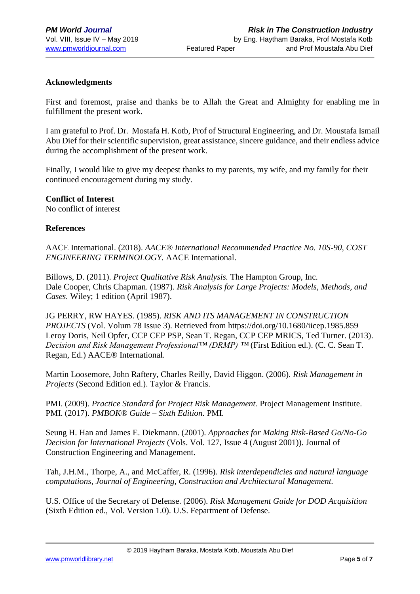### **Acknowledgments**

First and foremost, praise and thanks be to Allah the Great and Almighty for enabling me in fulfillment the present work.

I am grateful to Prof. Dr. Mostafa H. Kotb, Prof of Structural Engineering, and Dr. Moustafa Ismail Abu Dief for their scientific supervision, great assistance, sincere guidance, and their endless advice during the accomplishment of the present work.

Finally, I would like to give my deepest thanks to my parents, my wife, and my family for their continued encouragement during my study.

#### **Conflict of Interest**

No conflict of interest

#### **References**

AACE International. (2018). *AACE® International Recommended Practice No. 10S-90, COST ENGINEERING TERMINOLOGY.* AACE International.

Billows, D. (2011). *Project Qualitative Risk Analysis.* The Hampton Group, Inc. Dale Cooper, Chris Chapman. (1987). *Risk Analysis for Large Projects: Models, Methods, and Cases.* Wiley; 1 edition (April 1987).

JG PERRY, RW HAYES. (1985). *RISK AND ITS MANAGEMENT IN CONSTRUCTION PROJECTS* (Vol. Volum 78 Issue 3). Retrieved from https://doi.org/10.1680/iicep.1985.859 Leroy Doris, Neil Opfer, CCP CEP PSP, Sean T. Regan, CCP CEP MRICS, Ted Turner. (2013). *Decision and Risk Management Professional™ (DRMP) ™* (First Edition ed.). (C. C. Sean T. Regan, Ed.) AACE® International.

Martin Loosemore, John Raftery, Charles Reilly, David Higgon. (2006). *Risk Management in Projects* (Second Edition ed.). Taylor & Francis.

PMI. (2009). *Practice Standard for Project Risk Management.* Project Management Institute. PMI. (2017). *PMBOK® Guide – Sixth Edition.* PMI.

Seung H. Han and James E. Diekmann. (2001). *Approaches for Making Risk-Based Go/No-Go Decision for International Projects* (Vols. Vol. 127, Issue 4 (August 2001)). Journal of Construction Engineering and Management.

Tah, J.H.M., Thorpe, A., and McCaffer, R. (1996). *Risk interdependicies and natural language computations, Journal of Engineering, Construction and Architectural Management.*

U.S. Office of the Secretary of Defense. (2006). *Risk Management Guide for DOD Acquisition* (Sixth Edition ed., Vol. Version 1.0). U.S. Fepartment of Defense.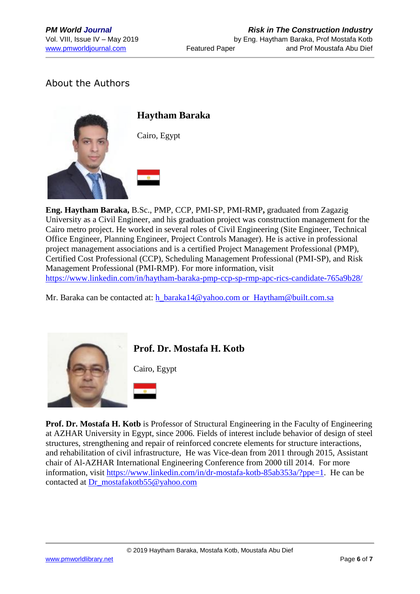# About the Authors



**Eng. Haytham Baraka,** B.Sc., PMP, CCP, PMI-SP, PMI-RMP**,** graduated from Zagazig University as a Civil Engineer, and his graduation project was construction management for the Cairo metro project. He worked in several roles of Civil Engineering (Site Engineer, Technical Office Engineer, Planning Engineer, Project Controls Manager). He is active in professional project management associations and is a certified Project Management Professional (PMP), Certified Cost Professional (CCP), Scheduling Management Professional (PMI-SP), and Risk Management Professional (PMI-RMP). For more information, visit <https://www.linkedin.com/in/haytham-baraka-pmp-ccp-sp-rmp-apc-rics-candidate-765a9b28/>

Mr. Baraka can be contacted at: h\_baraka14@yahoo.com [or Haytham@built.com.sa](mailto:h_baraka14@yahoo.com%20or%20%20Haytham@built.com.sa)



**Prof. Dr. Mostafa H. Kotb**

Cairo, Egypt



**Prof. Dr. Mostafa H. Kotb** is Professor of Structural Engineering in the Faculty of Engineering at AZHAR University in Egypt, since 2006. Fields of interest include behavior of design of steel structures, strengthening and repair of reinforced concrete elements for structure interactions, and rehabilitation of civil infrastructure, He was Vice-dean from 2011 through 2015, Assistant chair of Al-AZHAR International Engineering Conference from 2000 till 2014. For more information, visit [https://www.linkedin.com/in/dr-mostafa-kotb-85ab353a/?ppe=1.](https://www.linkedin.com/in/dr-mostafa-kotb-85ab353a/?ppe=1) He can be contacted at [Dr\\_mostafakotb55@yahoo.com](mailto:Dr_mostafakotb55@yahoo.com)